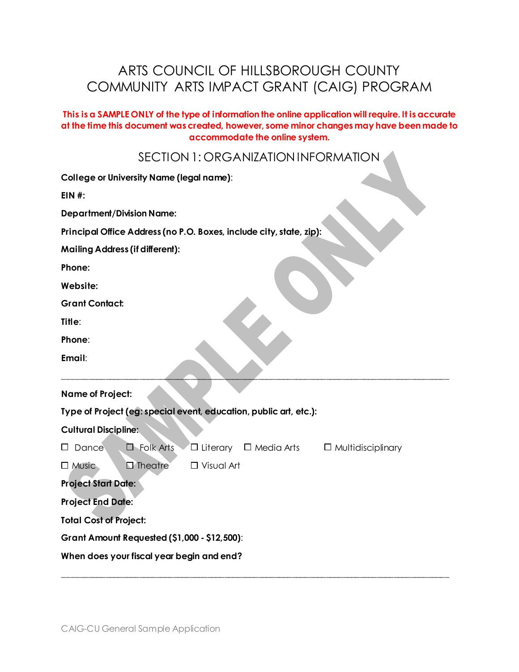# ARTS COUNCIL OF HILLSBOROUGH COUNTY COMMUNITY ARTS IMPACT GRANT (CAIG) PROGRAM

#### **This is a SAMPLE ONLY of the type of information the online application will require. It is accurate at the time this document was created, however, some minor changes may have been made to accommodate the online system.**

SECTION 1: ORGANIZATION INFORMATION

| <b>College or University Name (legal name):</b>                                                         |
|---------------------------------------------------------------------------------------------------------|
| $EIN$ #:                                                                                                |
| <b>Department/Division Name:</b>                                                                        |
| Principal Office Address (no P.O. Boxes, include city, state, zip):                                     |
| <b>Mailing Address (if different):</b>                                                                  |
| Phone:                                                                                                  |
| Website:                                                                                                |
| <b>Grant Contact:</b>                                                                                   |
| Title:                                                                                                  |
| Phone:                                                                                                  |
| Email:                                                                                                  |
| <b>Name of Project:</b>                                                                                 |
| Type of Project (eg: special event, education, public art, etc.):                                       |
| <b>Cultural Discipline:</b>                                                                             |
| $\Box$ Folk Arts<br>$\square$ Literary $\square$ Media Arts<br>$\Box$ Dance<br>$\Box$ Multidisciplinary |
| $\Box$ Theatre<br>$\Box$ Visual Art<br>$\Box$ Music                                                     |
| <b>Project Start Date:</b>                                                                              |
| <b>Project End Date:</b>                                                                                |
| <b>Total Cost of Project:</b>                                                                           |
| <b>Grant Amount Requested (\$1,000 - \$12,500):</b>                                                     |
| When does your fiscal year begin and end?                                                               |

\_\_\_\_\_\_\_\_\_\_\_\_\_\_\_\_\_\_\_\_\_\_\_\_\_\_\_\_\_\_\_\_\_\_\_\_\_\_\_\_\_\_\_\_\_\_\_\_\_\_\_\_\_\_\_\_\_\_\_\_\_\_\_\_\_\_\_\_\_\_\_\_\_\_\_\_\_\_\_\_\_\_\_\_\_\_\_\_\_\_\_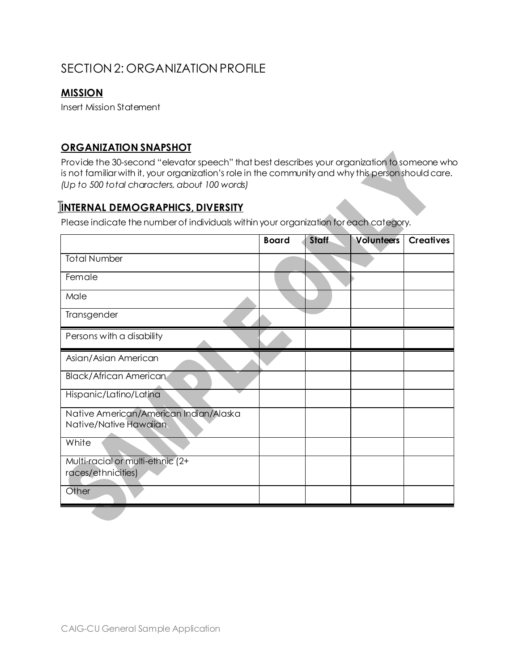# SECTION 2: ORGANIZATION PROFILE

### **MISSION**

Insert Mission Statement

#### **ORGANIZATION SNAPSHOT**

Provide the 30-second "elevator speech" that best describes your organization to someone who is not familiar with it, your organization's role in the community and why this person should care. *(Up to 500 total characters, about 100 words)*

### **INTERNAL DEMOGRAPHICS, DIVERSITY**

Please indicate the numberof individuals within your organization foreach category.

|                                                                  | <b>Board</b> | <b>Staff</b> | <b>Volunteers</b> | <b>Creatives</b> |
|------------------------------------------------------------------|--------------|--------------|-------------------|------------------|
| <b>Total Number</b>                                              |              |              |                   |                  |
| Female                                                           |              |              |                   |                  |
| Male                                                             |              |              |                   |                  |
| Transgender                                                      |              |              |                   |                  |
| Persons with a disability                                        |              |              |                   |                  |
| Asian/Asian American                                             |              |              |                   |                  |
| <b>Black/African American</b>                                    |              |              |                   |                  |
| Hispanic/Latino/Latina                                           |              |              |                   |                  |
| Native American/American Indian/Alaska<br>Native/Native Hawaiian |              |              |                   |                  |
| White                                                            |              |              |                   |                  |
| Multi-racial or multi-ethnic (2+                                 |              |              |                   |                  |
| races/ethnicities)                                               |              |              |                   |                  |
| Other                                                            |              |              |                   |                  |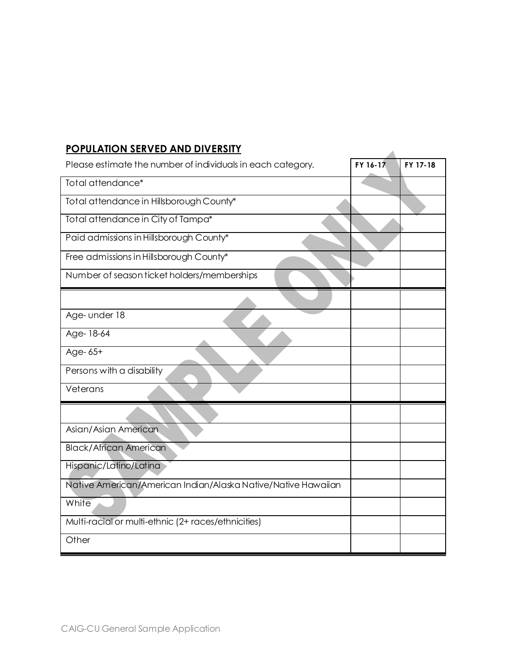### **POPULATION SERVED AND DIVERSITY**

| <b>FUFULATIUN SERVED AND DIVERSILI</b>                        |          |          |
|---------------------------------------------------------------|----------|----------|
| Please estimate the number of individuals in each category.   | FY 16-17 | FY 17-18 |
| Total attendance*                                             |          |          |
| Total attendance in Hillsborough County*                      |          |          |
| Total attendance in City of Tampa*                            |          |          |
| Paid admissions in Hillsborough County*                       |          |          |
| Free admissions in Hillsborough County*                       |          |          |
| Number of season ticket holders/memberships                   |          |          |
|                                                               |          |          |
| Age- under 18                                                 |          |          |
| Age-18-64                                                     |          |          |
| Age-65+                                                       |          |          |
| Persons with a disability                                     |          |          |
| Veterans                                                      |          |          |
|                                                               |          |          |
| Asian/Asian American                                          |          |          |
| <b>Black/African American</b>                                 |          |          |
| Hispanic/Latino/Latina                                        |          |          |
| Native American/American Indian/Alaska Native/Native Hawaiian |          |          |
| White                                                         |          |          |
| Multi-racial or multi-ethnic (2+ races/ethnicities)           |          |          |
| Other                                                         |          |          |
|                                                               |          |          |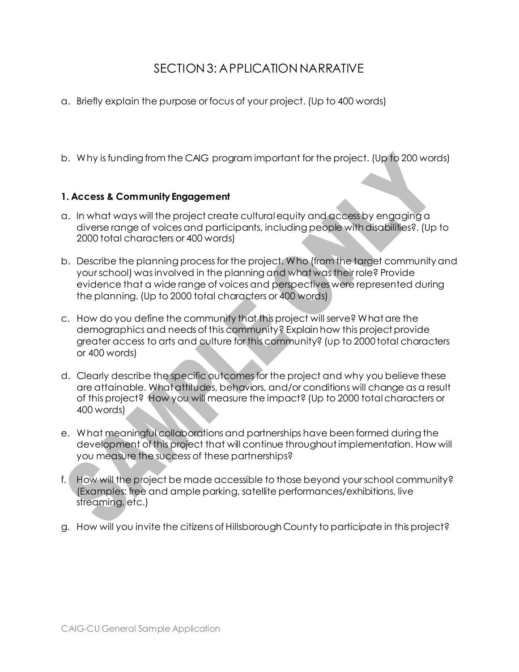# SECTION 3: APPLICATION NARRATIVE

- a. Briefly explain the purpose or focus of your project. (Up to 400 words)
- b. Why is funding from the CAIG program important for the project. (Up to 200 words)

### **1. Access & Community Engagement**

- a. In what ways will the project create cultural equity and access by engaging a diverse range of voices and participants, including people with disabilities?. (Up to 2000 total characters or 400 words)
- b. Describe the planning process for the project. Who (from the target community and your school) was involved in the planning and what was their role? Provide evidence that a wide range of voices and perspectives were represented during the planning. (Up to 2000 total characters or 400 words)
- c. How do you define the community that this project will serve? What are the demographics and needs of this community? Explain how this project provide greater access to arts and culture for this community? (up to 2000 total characters or 400 words)
- d. Clearly describe the specific outcomes for the project and why you believe these are attainable. What attitudes, behaviors, and/or conditions will change as a result of this project? How you will measure the impact? (Up to 2000 total characters or 400 words)
- e. What meaningful collaborations and partnerships have been formed during the development of this project that will continue throughout implementation. How will you measure the success of these partnerships?
- f. How will the project be made accessible to those beyond your school community? (Examples: free and ample parking, satellite performances/exhibitions, live streaming, etc.)
- g. How will you invite the citizens of Hillsborough County to participate in this project?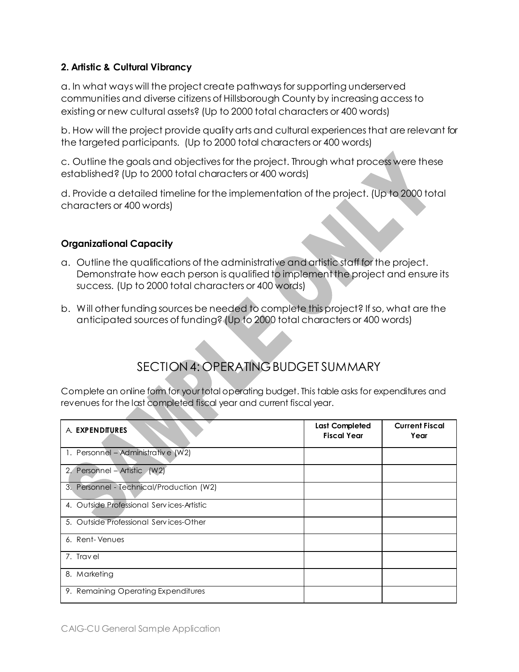### **2. Artistic & Cultural Vibrancy**

a. In what ways will the project create pathways for supporting underserved communities and diverse citizens of Hillsborough County by increasing access to existing or new cultural assets? (Up to 2000 total characters or 400 words)

b. How will the project provide quality arts and cultural experiences that are relevant for the targeted participants. (Up to 2000 total characters or 400 words)

c. Outline the goals and objectives for the project. Through what process were these established? (Up to 2000 total characters or 400 words)

d. Provide a detailed timeline for the implementation of the project. (Up to 2000 total characters or 400 words)

### **Organizational Capacity**

- a. Outline the qualifications of the administrative and artistic staff for the project. Demonstrate how each person is qualified to implement the project and ensure its success. (Up to 2000 total characters or 400 words)
- b. Will other funding sources be needed to complete this project? If so, what are the anticipated sources of funding? (Up to 2000 total characters or 400 words)

# SECTION 4: OPERATING BUDGET SUMMARY

Complete an online form for your total operating budget. This table asks for expenditures and revenues for the last completed fiscal year and current fiscal year.

| A. EXPENDITURES                           | <b>Last Completed</b><br><b>Fiscal Year</b> | <b>Current Fiscal</b><br>Year |
|-------------------------------------------|---------------------------------------------|-------------------------------|
| 1. Personnel - Administrative (W2)        |                                             |                               |
| 2. Personnel – Artistic (W2)              |                                             |                               |
| 3. Personnel - Technical/Production (W2)  |                                             |                               |
| 4. Outside Professional Services-Artistic |                                             |                               |
| 5. Outside Professional Services-Other    |                                             |                               |
| 6. Rent-Venues                            |                                             |                               |
| 7. Travel                                 |                                             |                               |
| 8. Marketing                              |                                             |                               |
| 9. Remaining Operating Expenditures       |                                             |                               |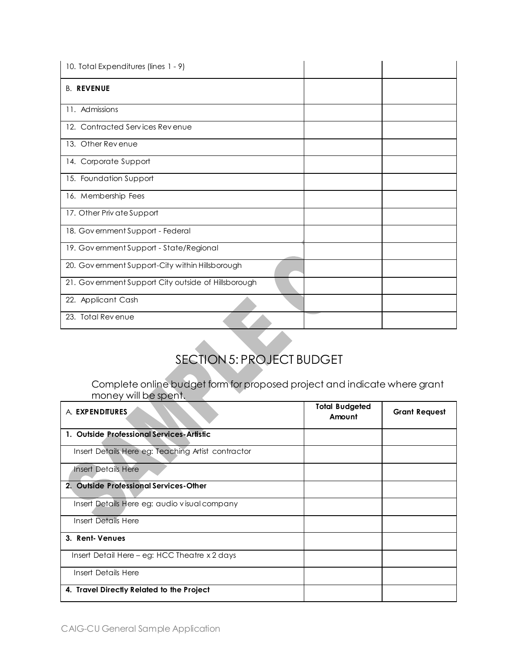| 10. Total Expenditures (lines 1 - 9)                |  |
|-----------------------------------------------------|--|
| <b>B. REVENUE</b>                                   |  |
| 11. Admissions                                      |  |
| 12. Contracted Services Revenue                     |  |
| 13. Other Revenue                                   |  |
| 14. Corporate Support                               |  |
| 15. Foundation Support                              |  |
| 16. Membership Fees                                 |  |
| 17. Other Priv ate Support                          |  |
| 18. Government Support - Federal                    |  |
| 19. Government Support - State/Regional             |  |
| 20. Government Support-City within Hillsborough     |  |
| 21. Government Support City outside of Hillsborough |  |
| 22. Applicant Cash                                  |  |
| 23. Total Revenue                                   |  |

# SECTION 5: PROJECT BUDGET

Complete online budget form for proposed project and indicate where grant money will be spent.

| A. EXPENDITURES                                    | <b>Total Budgeted</b><br>Amount | <b>Grant Request</b> |
|----------------------------------------------------|---------------------------------|----------------------|
| 1. Outside Professional Services-Artistic          |                                 |                      |
| Insert Details Here eg: Teaching Artist contractor |                                 |                      |
| <b>Insert Details Here</b>                         |                                 |                      |
| 2. Outside Professional Services-Other             |                                 |                      |
| Insert Details Here eg: audio visual company       |                                 |                      |
| Insert Details Here                                |                                 |                      |
| 3. Rent-Venues                                     |                                 |                      |
| Insert Detail Here – eg: HCC Theatre x 2 days      |                                 |                      |
| Insert Details Here                                |                                 |                      |
| 4. Travel Directly Related to the Project          |                                 |                      |